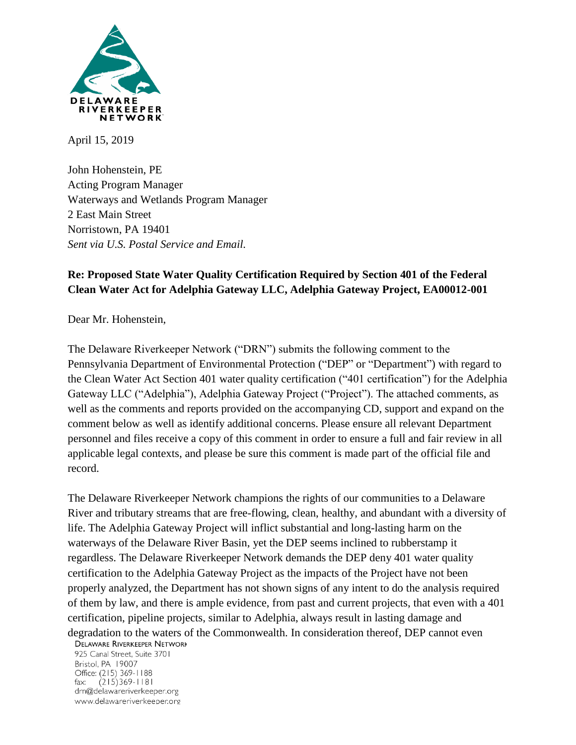

April 15, 2019

John Hohenstein, PE Acting Program Manager Waterways and Wetlands Program Manager 2 East Main Street Norristown, PA 19401 *Sent via U.S. Postal Service and Email.*

# **Re: Proposed State Water Quality Certification Required by Section 401 of the Federal Clean Water Act for Adelphia Gateway LLC, Adelphia Gateway Project, EA00012-001**

Dear Mr. Hohenstein,

The Delaware Riverkeeper Network ("DRN") submits the following comment to the Pennsylvania Department of Environmental Protection ("DEP" or "Department") with regard to the Clean Water Act Section 401 water quality certification ("401 certification") for the Adelphia Gateway LLC ("Adelphia"), Adelphia Gateway Project ("Project"). The attached comments, as well as the comments and reports provided on the accompanying CD, support and expand on the comment below as well as identify additional concerns. Please ensure all relevant Department personnel and files receive a copy of this comment in order to ensure a full and fair review in all applicable legal contexts, and please be sure this comment is made part of the official file and record.

The Delaware Riverkeeper Network champions the rights of our communities to a Delaware River and tributary streams that are free-flowing, clean, healthy, and abundant with a diversity of life. The Adelphia Gateway Project will inflict substantial and long-lasting harm on the waterways of the Delaware River Basin, yet the DEP seems inclined to rubberstamp it regardless. The Delaware Riverkeeper Network demands the DEP deny 401 water quality certification to the Adelphia Gateway Project as the impacts of the Project have not been properly analyzed, the Department has not shown signs of any intent to do the analysis required of them by law, and there is ample evidence, from past and current projects, that even with a 401 certification, pipeline projects, similar to Adelphia, always result in lasting damage and degradation to the waters of the Commonwealth. In consideration thereof, DEP cannot even<br>DELAWARE RIVERKEEPER NETWORK

925 Canal Street, Suite 3701 Bristol, PA 19007 Office: (215) 369-1188 fax:  $(215)369-1181$ drn@delawareriverkeeper.org www.delawareriverkeeper.org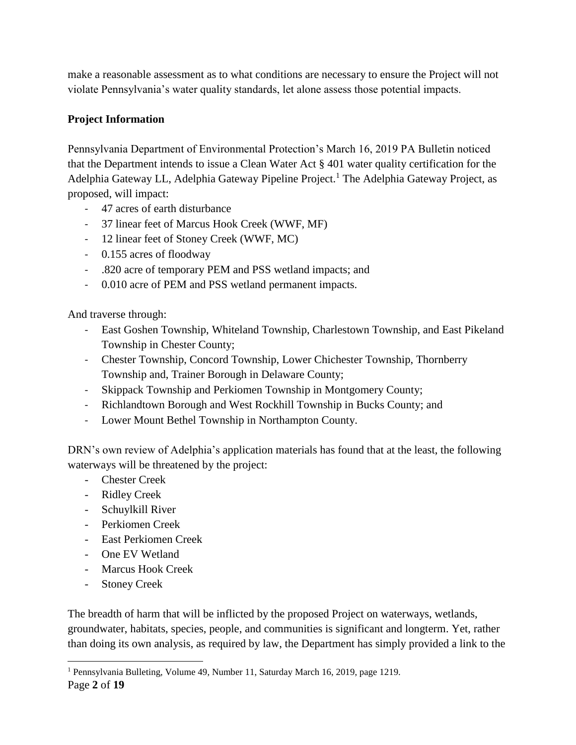make a reasonable assessment as to what conditions are necessary to ensure the Project will not violate Pennsylvania's water quality standards, let alone assess those potential impacts.

### **Project Information**

Pennsylvania Department of Environmental Protection's March 16, 2019 PA Bulletin noticed that the Department intends to issue a Clean Water Act § 401 water quality certification for the Adelphia Gateway LL, Adelphia Gateway Pipeline Project.<sup>1</sup> The Adelphia Gateway Project, as proposed, will impact:

- 47 acres of earth disturbance
- 37 linear feet of Marcus Hook Creek (WWF, MF)
- 12 linear feet of Stoney Creek (WWF, MC)
- 0.155 acres of floodway
- .820 acre of temporary PEM and PSS wetland impacts; and
- 0.010 acre of PEM and PSS wetland permanent impacts.

And traverse through:

- East Goshen Township, Whiteland Township, Charlestown Township, and East Pikeland Township in Chester County;
- Chester Township, Concord Township, Lower Chichester Township, Thornberry Township and, Trainer Borough in Delaware County;
- Skippack Township and Perkiomen Township in Montgomery County;
- Richlandtown Borough and West Rockhill Township in Bucks County; and
- Lower Mount Bethel Township in Northampton County.

DRN's own review of Adelphia's application materials has found that at the least, the following waterways will be threatened by the project:

- Chester Creek
- Ridley Creek
- Schuylkill River
- Perkiomen Creek
- East Perkiomen Creek
- One EV Wetland
- Marcus Hook Creek
- Stoney Creek

The breadth of harm that will be inflicted by the proposed Project on waterways, wetlands, groundwater, habitats, species, people, and communities is significant and longterm. Yet, rather than doing its own analysis, as required by law, the Department has simply provided a link to the

<sup>1</sup> Pennsylvania Bulleting, Volume 49, Number 11, Saturday March 16, 2019, page 1219.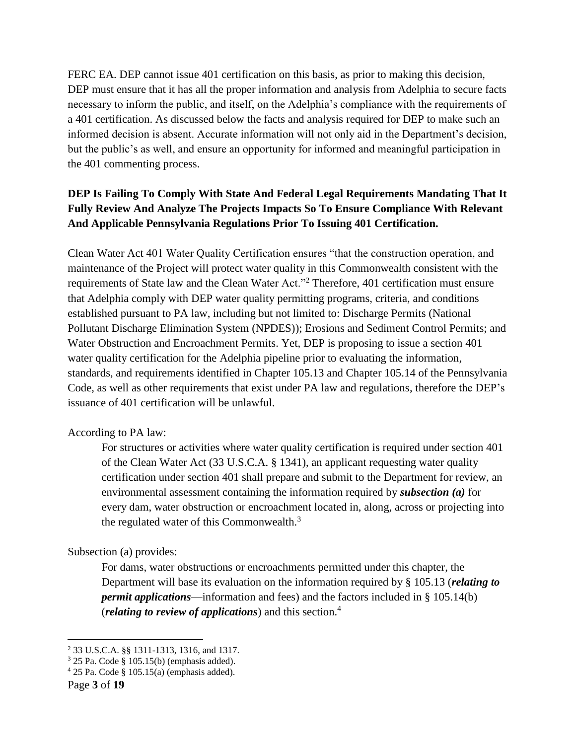FERC EA. DEP cannot issue 401 certification on this basis, as prior to making this decision, DEP must ensure that it has all the proper information and analysis from Adelphia to secure facts necessary to inform the public, and itself, on the Adelphia's compliance with the requirements of a 401 certification. As discussed below the facts and analysis required for DEP to make such an informed decision is absent. Accurate information will not only aid in the Department's decision, but the public's as well, and ensure an opportunity for informed and meaningful participation in the 401 commenting process.

## **DEP Is Failing To Comply With State And Federal Legal Requirements Mandating That It Fully Review And Analyze The Projects Impacts So To Ensure Compliance With Relevant And Applicable Pennsylvania Regulations Prior To Issuing 401 Certification.**

Clean Water Act 401 Water Quality Certification ensures "that the construction operation, and maintenance of the Project will protect water quality in this Commonwealth consistent with the requirements of State law and the Clean Water Act."<sup>2</sup> Therefore, 401 certification must ensure that Adelphia comply with DEP water quality permitting programs, criteria, and conditions established pursuant to PA law, including but not limited to: Discharge Permits (National Pollutant Discharge Elimination System (NPDES)); Erosions and Sediment Control Permits; and Water Obstruction and Encroachment Permits. Yet, DEP is proposing to issue a section 401 water quality certification for the Adelphia pipeline prior to evaluating the information, standards, and requirements identified in Chapter 105.13 and Chapter 105.14 of the Pennsylvania Code, as well as other requirements that exist under PA law and regulations, therefore the DEP's issuance of 401 certification will be unlawful.

#### According to PA law:

For structures or activities where water quality certification is required under section 401 of the Clean Water Act (33 U.S.C.A. § 1341), an applicant requesting water quality certification under section 401 shall prepare and submit to the Department for review, an environmental assessment containing the information required by *subsection (a)* for every dam, water obstruction or encroachment located in, along, across or projecting into the regulated water of this Commonwealth. $3$ 

#### Subsection (a) provides:

For dams, water obstructions or encroachments permitted under this chapter, the Department will base its evaluation on the information required by § 105.13 (*relating to permit applications*—information and fees) and the factors included in § 105.14(b) (*relating to review of applications*) and this section.<sup>4</sup>

<sup>2</sup> 33 U.S.C.A. §§ 1311-1313, 1316, and 1317.

 $3$  25 Pa. Code § 105.15(b) (emphasis added).

 $4$  25 Pa. Code § 105.15(a) (emphasis added).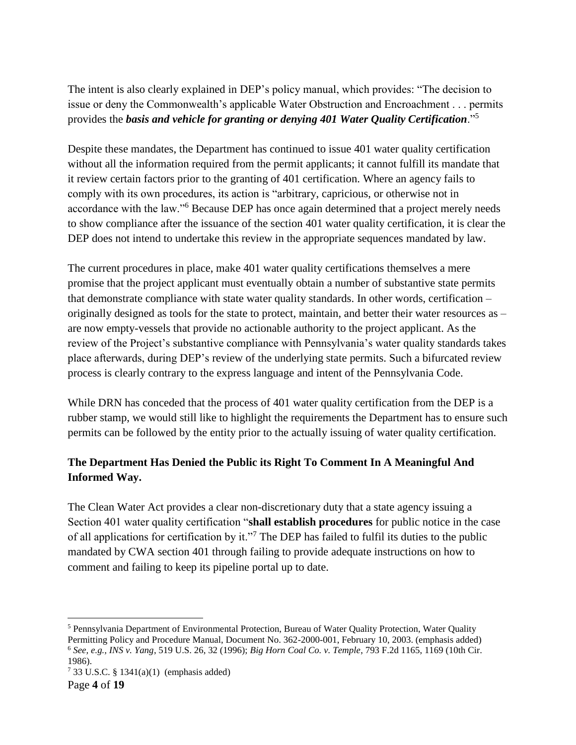The intent is also clearly explained in DEP's policy manual, which provides: "The decision to issue or deny the Commonwealth's applicable Water Obstruction and Encroachment . . . permits provides the *basis and vehicle for granting or denying 401 Water Quality Certification*."<sup>5</sup>

Despite these mandates, the Department has continued to issue 401 water quality certification without all the information required from the permit applicants; it cannot fulfill its mandate that it review certain factors prior to the granting of 401 certification. Where an agency fails to comply with its own procedures, its action is "arbitrary, capricious, or otherwise not in accordance with the law."<sup>6</sup> Because DEP has once again determined that a project merely needs to show compliance after the issuance of the section 401 water quality certification, it is clear the DEP does not intend to undertake this review in the appropriate sequences mandated by law.

The current procedures in place, make 401 water quality certifications themselves a mere promise that the project applicant must eventually obtain a number of substantive state permits that demonstrate compliance with state water quality standards. In other words, certification – originally designed as tools for the state to protect, maintain, and better their water resources as – are now empty-vessels that provide no actionable authority to the project applicant. As the review of the Project's substantive compliance with Pennsylvania's water quality standards takes place afterwards, during DEP's review of the underlying state permits. Such a bifurcated review process is clearly contrary to the express language and intent of the Pennsylvania Code.

While DRN has conceded that the process of 401 water quality certification from the DEP is a rubber stamp, we would still like to highlight the requirements the Department has to ensure such permits can be followed by the entity prior to the actually issuing of water quality certification.

## **The Department Has Denied the Public its Right To Comment In A Meaningful And Informed Way.**

The Clean Water Act provides a clear non-discretionary duty that a state agency issuing a Section 401 water quality certification "**shall establish procedures** for public notice in the case of all applications for certification by it."<sup>7</sup> The DEP has failed to fulfil its duties to the public mandated by CWA section 401 through failing to provide adequate instructions on how to comment and failing to keep its pipeline portal up to date.

<sup>5</sup> Pennsylvania Department of Environmental Protection, Bureau of Water Quality Protection, Water Quality Permitting Policy and Procedure Manual, Document No. 362-2000-001, February 10, 2003. (emphasis added) <sup>6</sup> *See, e.g., INS v. Yang*, 519 U.S. 26, 32 (1996); *Big Horn Coal Co. v. Temple*, 793 F.2d 1165, 1169 (10th Cir. 1986).

 $7\,33$  U.S.C. § 1341(a)(1) (emphasis added)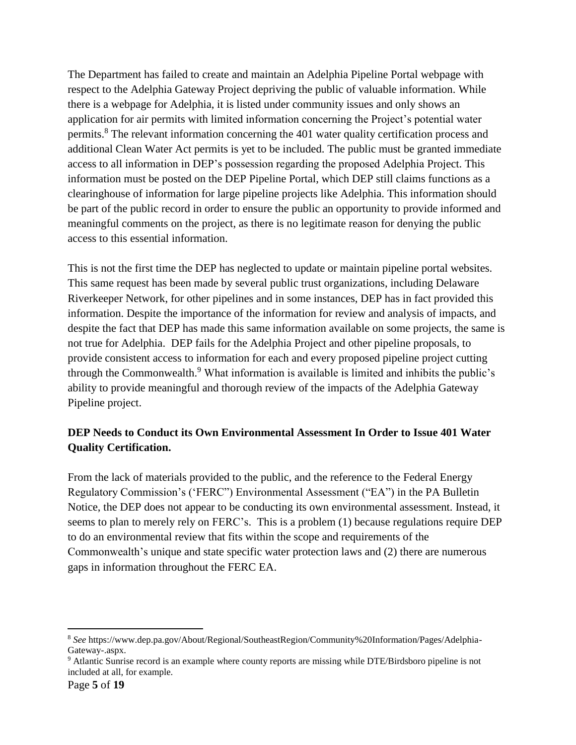The Department has failed to create and maintain an Adelphia Pipeline Portal webpage with respect to the Adelphia Gateway Project depriving the public of valuable information. While there is a webpage for Adelphia, it is listed under community issues and only shows an application for air permits with limited information concerning the Project's potential water permits.<sup>8</sup> The relevant information concerning the 401 water quality certification process and additional Clean Water Act permits is yet to be included. The public must be granted immediate access to all information in DEP's possession regarding the proposed Adelphia Project. This information must be posted on the DEP Pipeline Portal, which DEP still claims functions as a clearinghouse of information for large pipeline projects like Adelphia. This information should be part of the public record in order to ensure the public an opportunity to provide informed and meaningful comments on the project, as there is no legitimate reason for denying the public access to this essential information.

This is not the first time the DEP has neglected to update or maintain pipeline portal websites. This same request has been made by several public trust organizations, including Delaware Riverkeeper Network, for other pipelines and in some instances, DEP has in fact provided this information. Despite the importance of the information for review and analysis of impacts, and despite the fact that DEP has made this same information available on some projects, the same is not true for Adelphia. DEP fails for the Adelphia Project and other pipeline proposals, to provide consistent access to information for each and every proposed pipeline project cutting through the Commonwealth.<sup>9</sup> What information is available is limited and inhibits the public's ability to provide meaningful and thorough review of the impacts of the Adelphia Gateway Pipeline project.

## **DEP Needs to Conduct its Own Environmental Assessment In Order to Issue 401 Water Quality Certification.**

From the lack of materials provided to the public, and the reference to the Federal Energy Regulatory Commission's ('FERC") Environmental Assessment ("EA") in the PA Bulletin Notice, the DEP does not appear to be conducting its own environmental assessment. Instead, it seems to plan to merely rely on FERC's. This is a problem (1) because regulations require DEP to do an environmental review that fits within the scope and requirements of the Commonwealth's unique and state specific water protection laws and (2) there are numerous gaps in information throughout the FERC EA.

<sup>8</sup> *See* https://www.dep.pa.gov/About/Regional/SoutheastRegion/Community%20Information/Pages/Adelphia-Gateway-.aspx.

<sup>9</sup> Atlantic Sunrise record is an example where county reports are missing while DTE/Birdsboro pipeline is not included at all, for example.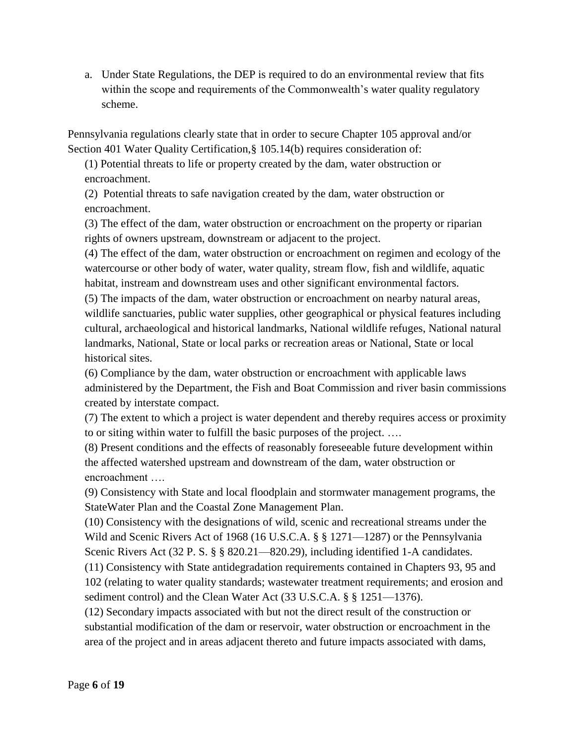a. Under State Regulations, the DEP is required to do an environmental review that fits within the scope and requirements of the Commonwealth's water quality regulatory scheme.

Pennsylvania regulations clearly state that in order to secure Chapter 105 approval and/or Section 401 Water Quality Certification,§ 105.14(b) requires consideration of:

(1) Potential threats to life or property created by the dam, water obstruction or encroachment.

(2) Potential threats to safe navigation created by the dam, water obstruction or encroachment.

(3) The effect of the dam, water obstruction or encroachment on the property or riparian rights of owners upstream, downstream or adjacent to the project.

(4) The effect of the dam, water obstruction or encroachment on regimen and ecology of the watercourse or other body of water, water quality, stream flow, fish and wildlife, aquatic habitat, instream and downstream uses and other significant environmental factors.

(5) The impacts of the dam, water obstruction or encroachment on nearby natural areas, wildlife sanctuaries, public water supplies, other geographical or physical features including cultural, archaeological and historical landmarks, National wildlife refuges, National natural landmarks, National, State or local parks or recreation areas or National, State or local historical sites.

(6) Compliance by the dam, water obstruction or encroachment with applicable laws administered by the Department, the Fish and Boat Commission and river basin commissions created by interstate compact.

(7) The extent to which a project is water dependent and thereby requires access or proximity to or siting within water to fulfill the basic purposes of the project. ….

(8) Present conditions and the effects of reasonably foreseeable future development within the affected watershed upstream and downstream of the dam, water obstruction or encroachment ….

(9) Consistency with State and local floodplain and stormwater management programs, the StateWater Plan and the Coastal Zone Management Plan.

(10) Consistency with the designations of wild, scenic and recreational streams under the Wild and Scenic Rivers Act of 1968 (16 U.S.C.A. § § 1271—1287) or the Pennsylvania Scenic Rivers Act (32 P. S. § § 820.21—820.29), including identified 1-A candidates.

(11) Consistency with State antidegradation requirements contained in Chapters 93, 95 and 102 (relating to water quality standards; wastewater treatment requirements; and erosion and sediment control) and the Clean Water Act (33 U.S.C.A. § § 1251—1376).

(12) Secondary impacts associated with but not the direct result of the construction or substantial modification of the dam or reservoir, water obstruction or encroachment in the area of the project and in areas adjacent thereto and future impacts associated with dams,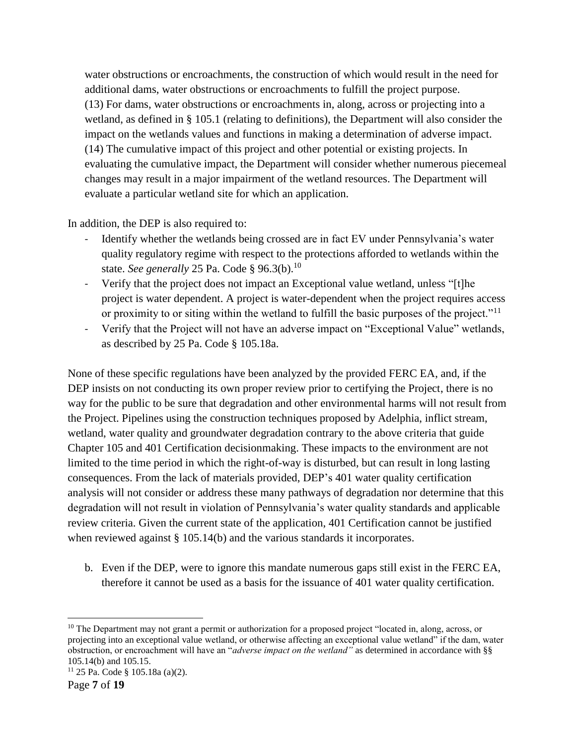water obstructions or encroachments, the construction of which would result in the need for additional dams, water obstructions or encroachments to fulfill the project purpose. (13) For dams, water obstructions or encroachments in, along, across or projecting into a wetland, as defined in § 105.1 (relating to definitions), the Department will also consider the impact on the wetlands values and functions in making a determination of adverse impact. (14) The cumulative impact of this project and other potential or existing projects. In evaluating the cumulative impact, the Department will consider whether numerous piecemeal changes may result in a major impairment of the wetland resources. The Department will evaluate a particular wetland site for which an application.

In addition, the DEP is also required to:

- Identify whether the wetlands being crossed are in fact EV under Pennsylvania's water quality regulatory regime with respect to the protections afforded to wetlands within the state. *See generally* 25 Pa. Code § 96.3(b).<sup>10</sup>
- Verify that the project does not impact an Exceptional value wetland, unless "[t]he project is water dependent. A project is water-dependent when the project requires access or proximity to or siting within the wetland to fulfill the basic purposes of the project."<sup>11</sup>
- Verify that the Project will not have an adverse impact on "Exceptional Value" wetlands, as described by 25 Pa. Code § 105.18a.

None of these specific regulations have been analyzed by the provided FERC EA, and, if the DEP insists on not conducting its own proper review prior to certifying the Project, there is no way for the public to be sure that degradation and other environmental harms will not result from the Project. Pipelines using the construction techniques proposed by Adelphia, inflict stream, wetland, water quality and groundwater degradation contrary to the above criteria that guide Chapter 105 and 401 Certification decisionmaking. These impacts to the environment are not limited to the time period in which the right-of-way is disturbed, but can result in long lasting consequences. From the lack of materials provided, DEP's 401 water quality certification analysis will not consider or address these many pathways of degradation nor determine that this degradation will not result in violation of Pennsylvania's water quality standards and applicable review criteria. Given the current state of the application, 401 Certification cannot be justified when reviewed against § 105.14(b) and the various standards it incorporates.

b. Even if the DEP, were to ignore this mandate numerous gaps still exist in the FERC EA, therefore it cannot be used as a basis for the issuance of 401 water quality certification.

<sup>&</sup>lt;sup>10</sup> The Department may not grant a permit or authorization for a proposed project "located in, along, across, or projecting into an exceptional value wetland, or otherwise affecting an exceptional value wetland" if the dam, water obstruction, or encroachment will have an "*adverse impact on the wetland"* as determined in accordance with §§ 105.14(b) and 105.15.

<sup>11</sup> 25 Pa. Code § 105.18a (a)(2).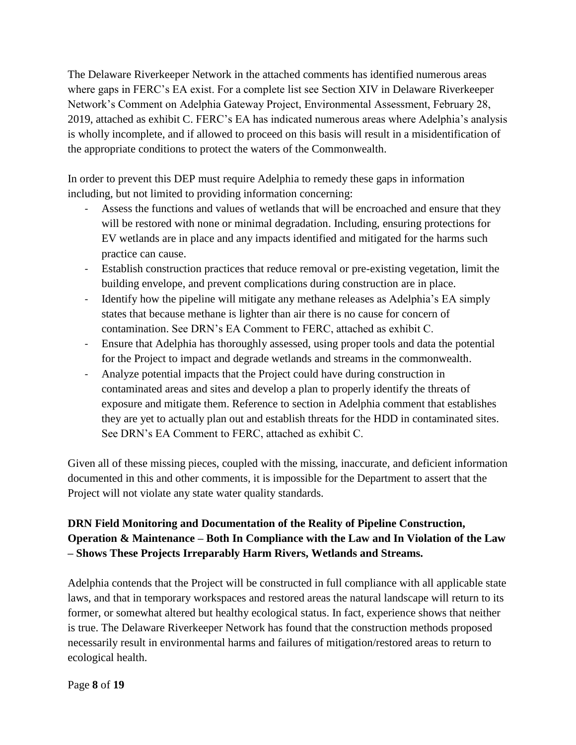The Delaware Riverkeeper Network in the attached comments has identified numerous areas where gaps in FERC's EA exist. For a complete list see Section XIV in Delaware Riverkeeper Network's Comment on Adelphia Gateway Project, Environmental Assessment, February 28, 2019, attached as exhibit C. FERC's EA has indicated numerous areas where Adelphia's analysis is wholly incomplete, and if allowed to proceed on this basis will result in a misidentification of the appropriate conditions to protect the waters of the Commonwealth.

In order to prevent this DEP must require Adelphia to remedy these gaps in information including, but not limited to providing information concerning:

- Assess the functions and values of wetlands that will be encroached and ensure that they will be restored with none or minimal degradation. Including, ensuring protections for EV wetlands are in place and any impacts identified and mitigated for the harms such practice can cause.
- Establish construction practices that reduce removal or pre-existing vegetation, limit the building envelope, and prevent complications during construction are in place.
- Identify how the pipeline will mitigate any methane releases as Adelphia's EA simply states that because methane is lighter than air there is no cause for concern of contamination. See DRN's EA Comment to FERC, attached as exhibit C.
- Ensure that Adelphia has thoroughly assessed, using proper tools and data the potential for the Project to impact and degrade wetlands and streams in the commonwealth.
- Analyze potential impacts that the Project could have during construction in contaminated areas and sites and develop a plan to properly identify the threats of exposure and mitigate them. Reference to section in Adelphia comment that establishes they are yet to actually plan out and establish threats for the HDD in contaminated sites. See DRN's EA Comment to FERC, attached as exhibit C.

Given all of these missing pieces, coupled with the missing, inaccurate, and deficient information documented in this and other comments, it is impossible for the Department to assert that the Project will not violate any state water quality standards.

# **DRN Field Monitoring and Documentation of the Reality of Pipeline Construction, Operation & Maintenance – Both In Compliance with the Law and In Violation of the Law – Shows These Projects Irreparably Harm Rivers, Wetlands and Streams.**

Adelphia contends that the Project will be constructed in full compliance with all applicable state laws, and that in temporary workspaces and restored areas the natural landscape will return to its former, or somewhat altered but healthy ecological status. In fact, experience shows that neither is true. The Delaware Riverkeeper Network has found that the construction methods proposed necessarily result in environmental harms and failures of mitigation/restored areas to return to ecological health.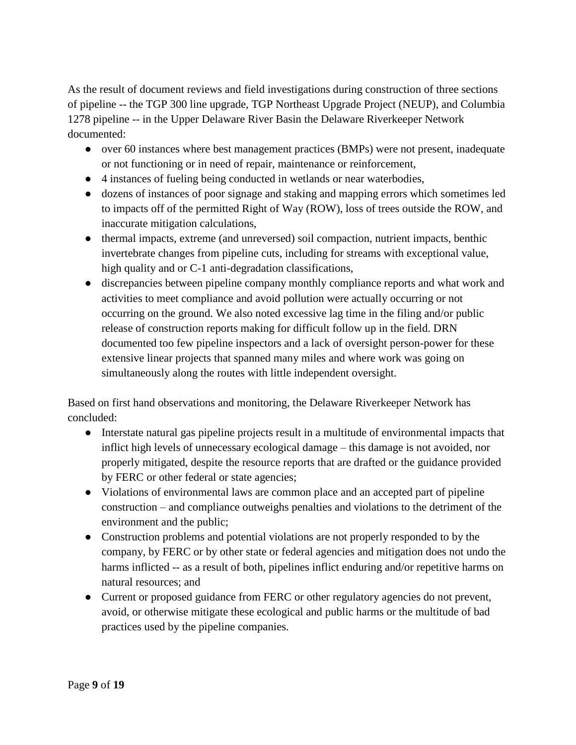As the result of document reviews and field investigations during construction of three sections of pipeline -- the TGP 300 line upgrade, TGP Northeast Upgrade Project (NEUP), and Columbia 1278 pipeline -- in the Upper Delaware River Basin the Delaware Riverkeeper Network documented:

- over 60 instances where best management practices (BMPs) were not present, inadequate or not functioning or in need of repair, maintenance or reinforcement,
- 4 instances of fueling being conducted in wetlands or near waterbodies,
- dozens of instances of poor signage and staking and mapping errors which sometimes led to impacts off of the permitted Right of Way (ROW), loss of trees outside the ROW, and inaccurate mitigation calculations,
- thermal impacts, extreme (and unreversed) soil compaction, nutrient impacts, benthic invertebrate changes from pipeline cuts, including for streams with exceptional value, high quality and or C-1 anti-degradation classifications,
- discrepancies between pipeline company monthly compliance reports and what work and activities to meet compliance and avoid pollution were actually occurring or not occurring on the ground. We also noted excessive lag time in the filing and/or public release of construction reports making for difficult follow up in the field. DRN documented too few pipeline inspectors and a lack of oversight person-power for these extensive linear projects that spanned many miles and where work was going on simultaneously along the routes with little independent oversight.

Based on first hand observations and monitoring, the Delaware Riverkeeper Network has concluded:

- Interstate natural gas pipeline projects result in a multitude of environmental impacts that inflict high levels of unnecessary ecological damage – this damage is not avoided, nor properly mitigated, despite the resource reports that are drafted or the guidance provided by FERC or other federal or state agencies;
- Violations of environmental laws are common place and an accepted part of pipeline construction – and compliance outweighs penalties and violations to the detriment of the environment and the public;
- Construction problems and potential violations are not properly responded to by the company, by FERC or by other state or federal agencies and mitigation does not undo the harms inflicted -- as a result of both, pipelines inflict enduring and/or repetitive harms on natural resources; and
- Current or proposed guidance from FERC or other regulatory agencies do not prevent, avoid, or otherwise mitigate these ecological and public harms or the multitude of bad practices used by the pipeline companies.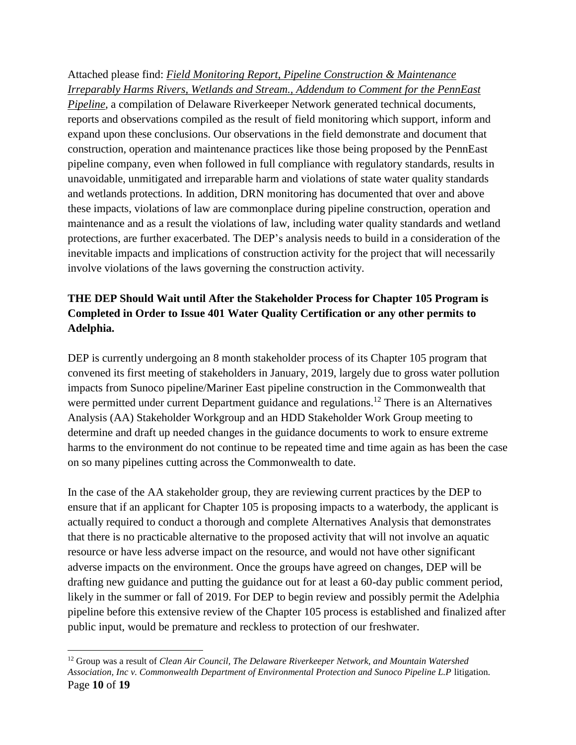Attached please find: *Field Monitoring Report, Pipeline Construction & Maintenance Irreparably Harms Rivers, Wetlands and Stream., Addendum to Comment for the PennEast Pipeline,* a compilation of Delaware Riverkeeper Network generated technical documents, reports and observations compiled as the result of field monitoring which support, inform and expand upon these conclusions. Our observations in the field demonstrate and document that construction, operation and maintenance practices like those being proposed by the PennEast pipeline company, even when followed in full compliance with regulatory standards, results in unavoidable, unmitigated and irreparable harm and violations of state water quality standards and wetlands protections. In addition, DRN monitoring has documented that over and above these impacts, violations of law are commonplace during pipeline construction, operation and maintenance and as a result the violations of law, including water quality standards and wetland protections, are further exacerbated. The DEP's analysis needs to build in a consideration of the inevitable impacts and implications of construction activity for the project that will necessarily involve violations of the laws governing the construction activity.

# **THE DEP Should Wait until After the Stakeholder Process for Chapter 105 Program is Completed in Order to Issue 401 Water Quality Certification or any other permits to Adelphia.**

DEP is currently undergoing an 8 month stakeholder process of its Chapter 105 program that convened its first meeting of stakeholders in January, 2019, largely due to gross water pollution impacts from Sunoco pipeline/Mariner East pipeline construction in the Commonwealth that were permitted under current Department guidance and regulations.<sup>12</sup> There is an Alternatives Analysis (AA) Stakeholder Workgroup and an HDD Stakeholder Work Group meeting to determine and draft up needed changes in the guidance documents to work to ensure extreme harms to the environment do not continue to be repeated time and time again as has been the case on so many pipelines cutting across the Commonwealth to date.

In the case of the AA stakeholder group, they are reviewing current practices by the DEP to ensure that if an applicant for Chapter 105 is proposing impacts to a waterbody, the applicant is actually required to conduct a thorough and complete Alternatives Analysis that demonstrates that there is no practicable alternative to the proposed activity that will not involve an aquatic resource or have less adverse impact on the resource, and would not have other significant adverse impacts on the environment. Once the groups have agreed on changes, DEP will be drafting new guidance and putting the guidance out for at least a 60-day public comment period, likely in the summer or fall of 2019. For DEP to begin review and possibly permit the Adelphia pipeline before this extensive review of the Chapter 105 process is established and finalized after public input, would be premature and reckless to protection of our freshwater.

Page **10** of **19** <sup>12</sup> Group was a result of *Clean Air Council, The Delaware Riverkeeper Network, and Mountain Watershed Association, Inc v. Commonwealth Department of Environmental Protection and Sunoco Pipeline L.P* litigation.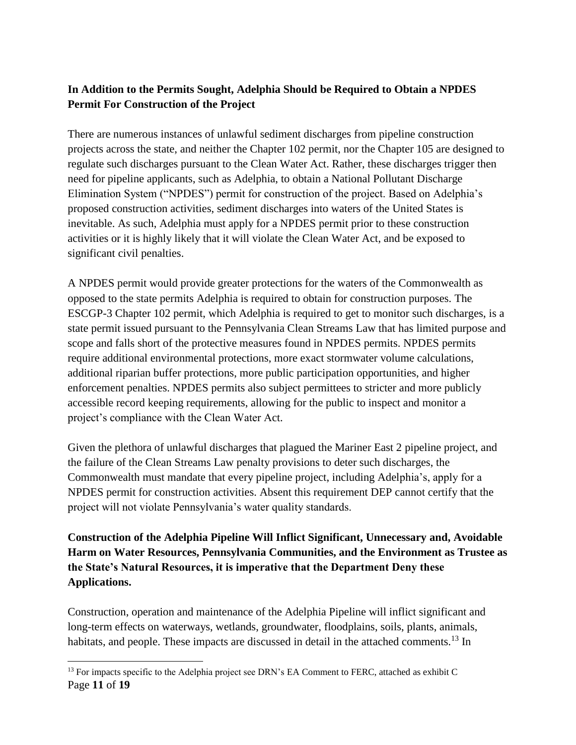## **In Addition to the Permits Sought, Adelphia Should be Required to Obtain a NPDES Permit For Construction of the Project**

There are numerous instances of unlawful sediment discharges from pipeline construction projects across the state, and neither the Chapter 102 permit, nor the Chapter 105 are designed to regulate such discharges pursuant to the Clean Water Act. Rather, these discharges trigger then need for pipeline applicants, such as Adelphia, to obtain a National Pollutant Discharge Elimination System ("NPDES") permit for construction of the project. Based on Adelphia's proposed construction activities, sediment discharges into waters of the United States is inevitable. As such, Adelphia must apply for a NPDES permit prior to these construction activities or it is highly likely that it will violate the Clean Water Act, and be exposed to significant civil penalties.

A NPDES permit would provide greater protections for the waters of the Commonwealth as opposed to the state permits Adelphia is required to obtain for construction purposes. The ESCGP-3 Chapter 102 permit, which Adelphia is required to get to monitor such discharges, is a state permit issued pursuant to the Pennsylvania Clean Streams Law that has limited purpose and scope and falls short of the protective measures found in NPDES permits. NPDES permits require additional environmental protections, more exact stormwater volume calculations, additional riparian buffer protections, more public participation opportunities, and higher enforcement penalties. NPDES permits also subject permittees to stricter and more publicly accessible record keeping requirements, allowing for the public to inspect and monitor a project's compliance with the Clean Water Act.

Given the plethora of unlawful discharges that plagued the Mariner East 2 pipeline project, and the failure of the Clean Streams Law penalty provisions to deter such discharges, the Commonwealth must mandate that every pipeline project, including Adelphia's, apply for a NPDES permit for construction activities. Absent this requirement DEP cannot certify that the project will not violate Pennsylvania's water quality standards.

**Construction of the Adelphia Pipeline Will Inflict Significant, Unnecessary and, Avoidable Harm on Water Resources, Pennsylvania Communities, and the Environment as Trustee as the State's Natural Resources, it is imperative that the Department Deny these Applications.**

Construction, operation and maintenance of the Adelphia Pipeline will inflict significant and long-term effects on waterways, wetlands, groundwater, floodplains, soils, plants, animals, habitats, and people. These impacts are discussed in detail in the attached comments.<sup>13</sup> In

Page **11** of **19** <sup>13</sup> For impacts specific to the Adelphia project see DRN's EA Comment to FERC, attached as exhibit C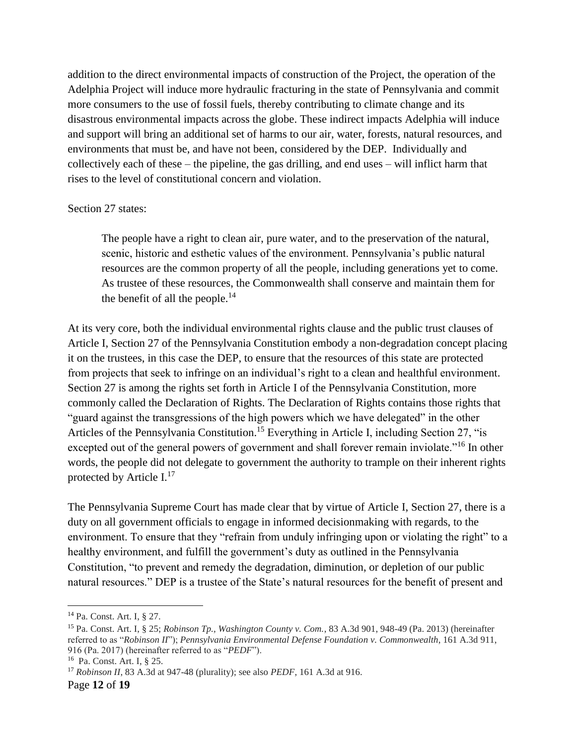addition to the direct environmental impacts of construction of the Project, the operation of the Adelphia Project will induce more hydraulic fracturing in the state of Pennsylvania and commit more consumers to the use of fossil fuels, thereby contributing to climate change and its disastrous environmental impacts across the globe. These indirect impacts Adelphia will induce and support will bring an additional set of harms to our air, water, forests, natural resources, and environments that must be, and have not been, considered by the DEP. Individually and collectively each of these – the pipeline, the gas drilling, and end uses – will inflict harm that rises to the level of constitutional concern and violation.

#### Section 27 states:

The people have a right to clean air, pure water, and to the preservation of the natural, scenic, historic and esthetic values of the environment. Pennsylvania's public natural resources are the common property of all the people, including generations yet to come. As trustee of these resources, the Commonwealth shall conserve and maintain them for the benefit of all the people.<sup>14</sup>

At its very core, both the individual environmental rights clause and the public trust clauses of Article I, Section 27 of the Pennsylvania Constitution embody a non-degradation concept placing it on the trustees, in this case the DEP, to ensure that the resources of this state are protected from projects that seek to infringe on an individual's right to a clean and healthful environment. Section 27 is among the rights set forth in Article I of the Pennsylvania Constitution, more commonly called the Declaration of Rights. The Declaration of Rights contains those rights that "guard against the transgressions of the high powers which we have delegated" in the other Articles of the Pennsylvania Constitution.<sup>15</sup> Everything in Article I, including Section 27, "is excepted out of the general powers of government and shall forever remain inviolate."<sup>16</sup> In other words, the people did not delegate to government the authority to trample on their inherent rights protected by Article I.<sup>17</sup>

The Pennsylvania Supreme Court has made clear that by virtue of Article I, Section 27, there is a duty on all government officials to engage in informed decisionmaking with regards, to the environment. To ensure that they "refrain from unduly infringing upon or violating the right" to a healthy environment, and fulfill the government's duty as outlined in the Pennsylvania Constitution, "to prevent and remedy the degradation, diminution, or depletion of our public natural resources." DEP is a trustee of the State's natural resources for the benefit of present and

<sup>14</sup> Pa. Const. Art. I, § 27.

<sup>15</sup> Pa. Const. Art. I, § 25; *Robinson Tp., Washington County v. Com.*, 83 A.3d 901, 948-49 (Pa. 2013) (hereinafter referred to as "*Robinson II*"); *Pennsylvania Environmental Defense Foundation v. Commonwealth*, 161 A.3d 911, 916 (Pa. 2017) (hereinafter referred to as "*PEDF*").

<sup>16</sup> Pa. Const. Art. I, § 25.

<sup>17</sup> *Robinson II*, 83 A.3d at 947-48 (plurality); see also *PEDF*, 161 A.3d at 916.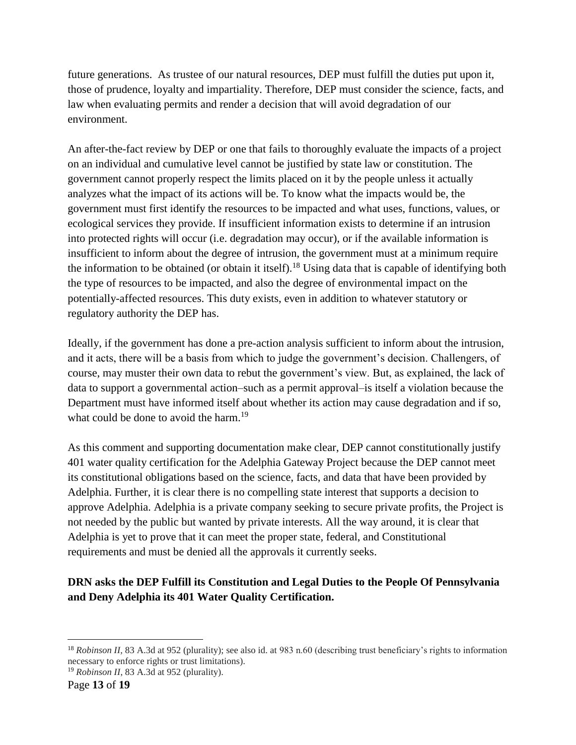future generations. As trustee of our natural resources, DEP must fulfill the duties put upon it, those of prudence, loyalty and impartiality. Therefore, DEP must consider the science, facts, and law when evaluating permits and render a decision that will avoid degradation of our environment.

An after-the-fact review by DEP or one that fails to thoroughly evaluate the impacts of a project on an individual and cumulative level cannot be justified by state law or constitution. The government cannot properly respect the limits placed on it by the people unless it actually analyzes what the impact of its actions will be. To know what the impacts would be, the government must first identify the resources to be impacted and what uses, functions, values, or ecological services they provide. If insufficient information exists to determine if an intrusion into protected rights will occur (i.e. degradation may occur), or if the available information is insufficient to inform about the degree of intrusion, the government must at a minimum require the information to be obtained (or obtain it itself).<sup>18</sup> Using data that is capable of identifying both the type of resources to be impacted, and also the degree of environmental impact on the potentially-affected resources. This duty exists, even in addition to whatever statutory or regulatory authority the DEP has.

Ideally, if the government has done a pre-action analysis sufficient to inform about the intrusion, and it acts, there will be a basis from which to judge the government's decision. Challengers, of course, may muster their own data to rebut the government's view. But, as explained, the lack of data to support a governmental action–such as a permit approval–is itself a violation because the Department must have informed itself about whether its action may cause degradation and if so, what could be done to avoid the harm.<sup>19</sup>

As this comment and supporting documentation make clear, DEP cannot constitutionally justify 401 water quality certification for the Adelphia Gateway Project because the DEP cannot meet its constitutional obligations based on the science, facts, and data that have been provided by Adelphia. Further, it is clear there is no compelling state interest that supports a decision to approve Adelphia. Adelphia is a private company seeking to secure private profits, the Project is not needed by the public but wanted by private interests. All the way around, it is clear that Adelphia is yet to prove that it can meet the proper state, federal, and Constitutional requirements and must be denied all the approvals it currently seeks.

## **DRN asks the DEP Fulfill its Constitution and Legal Duties to the People Of Pennsylvania and Deny Adelphia its 401 Water Quality Certification.**

 $\overline{a}$ <sup>18</sup> *Robinson II*, 83 A.3d at 952 (plurality); see also id. at 983 n.60 (describing trust beneficiary's rights to information necessary to enforce rights or trust limitations).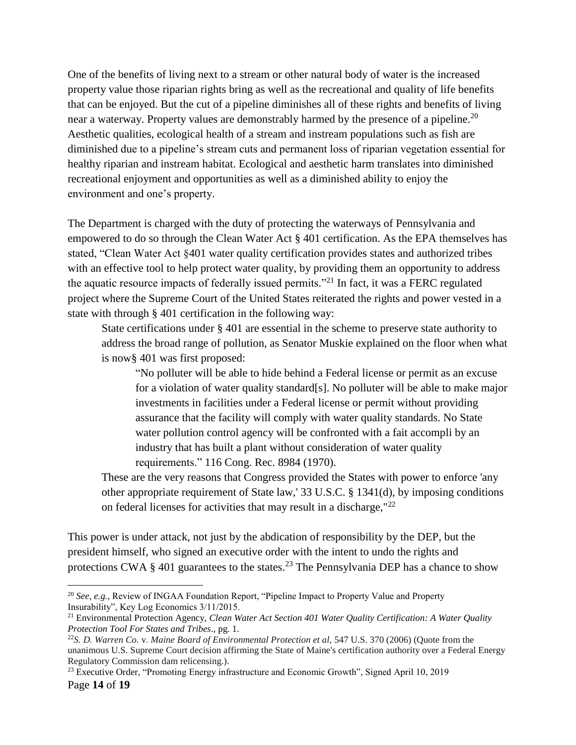One of the benefits of living next to a stream or other natural body of water is the increased property value those riparian rights bring as well as the recreational and quality of life benefits that can be enjoyed. But the cut of a pipeline diminishes all of these rights and benefits of living near a waterway. Property values are demonstrably harmed by the presence of a pipeline.<sup>20</sup> Aesthetic qualities, ecological health of a stream and instream populations such as fish are diminished due to a pipeline's stream cuts and permanent loss of riparian vegetation essential for healthy riparian and instream habitat. Ecological and aesthetic harm translates into diminished recreational enjoyment and opportunities as well as a diminished ability to enjoy the environment and one's property.

The Department is charged with the duty of protecting the waterways of Pennsylvania and empowered to do so through the Clean Water Act § 401 certification. As the EPA themselves has stated, "Clean Water Act §401 water quality certification provides states and authorized tribes with an effective tool to help protect water quality, by providing them an opportunity to address the aquatic resource impacts of federally issued permits."<sup>21</sup> In fact, it was a FERC regulated project where the Supreme Court of the United States reiterated the rights and power vested in a state with through § 401 certification in the following way:

State certifications under § 401 are essential in the scheme to preserve state authority to address the broad range of pollution, as Senator Muskie explained on the floor when what is now§ 401 was first proposed:

"No polluter will be able to hide behind a Federal license or permit as an excuse for a violation of water quality standard[s]. No polluter will be able to make major investments in facilities under a Federal license or permit without providing assurance that the facility will comply with water quality standards. No State water pollution control agency will be confronted with a fait accompli by an industry that has built a plant without consideration of water quality requirements." 116 Cong. Rec. 8984 (1970).

These are the very reasons that Congress provided the States with power to enforce 'any other appropriate requirement of State law,' 33 U.S.C. § 1341(d), by imposing conditions on federal licenses for activities that may result in a discharge, <sup>22</sup>

This power is under attack, not just by the abdication of responsibility by the DEP, but the president himself, who signed an executive order with the intent to undo the rights and protections CWA  $\S$  401 guarantees to the states.<sup>23</sup> The Pennsylvania DEP has a chance to show

<sup>20</sup> *See, e.g.*, Review of INGAA Foundation Report, "Pipeline Impact to Property Value and Property Insurability", Key Log Economics 3/11/2015.

<sup>21</sup> Environmental Protection Agency, *Clean Water Act Section 401 Water Quality Certification: A Water Quality Protection Tool For States and Tribes*., pg. 1.

<sup>22</sup>*S. D. Warren Co.* v. *Maine Board of Environmental Protection et al,* 547 U.S. 370 (2006) (Quote from the unanimous U.S. Supreme Court decision affirming the State of Maine's certification authority over a Federal Energy Regulatory Commission dam relicensing.).

Page **14** of **19** <sup>23</sup> Executive Order, "Promoting Energy infrastructure and Economic Growth", Signed April 10, 2019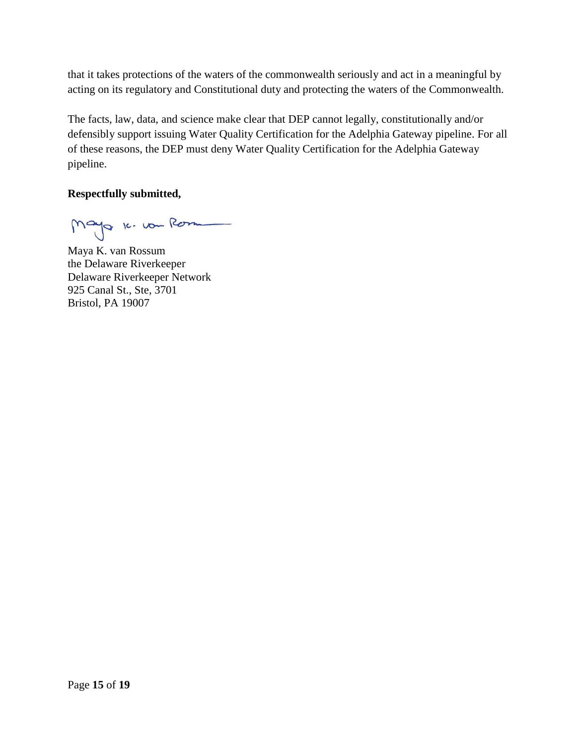that it takes protections of the waters of the commonwealth seriously and act in a meaningful by acting on its regulatory and Constitutional duty and protecting the waters of the Commonwealth.

The facts, law, data, and science make clear that DEP cannot legally, constitutionally and/or defensibly support issuing Water Quality Certification for the Adelphia Gateway pipeline. For all of these reasons, the DEP must deny Water Quality Certification for the Adelphia Gateway pipeline.

### **Respectfully submitted,**

Mayo 16. vou Rom

Maya K. van Rossum the Delaware Riverkeeper Delaware Riverkeeper Network 925 Canal St., Ste, 3701 Bristol, PA 19007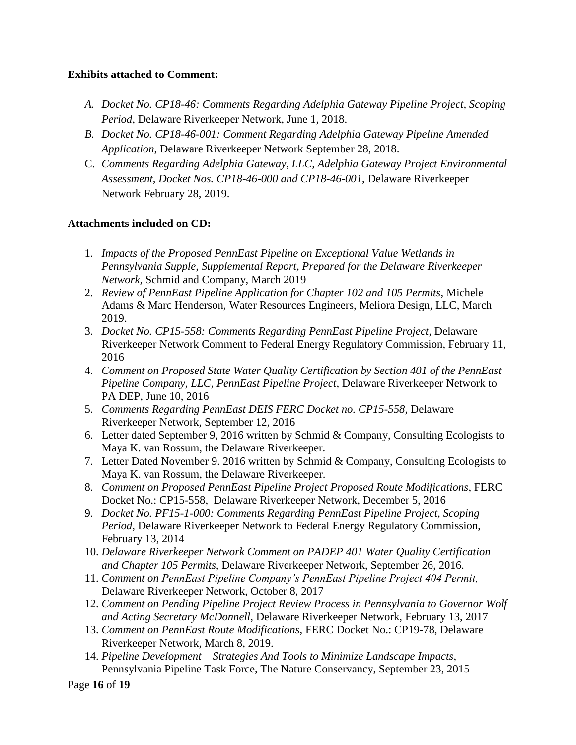#### **Exhibits attached to Comment:**

- *A. Docket No. CP18-46: Comments Regarding Adelphia Gateway Pipeline Project, Scoping Period*, Delaware Riverkeeper Network, June 1, 2018.
- *B. Docket No. CP18-46-001: Comment Regarding Adelphia Gateway Pipeline Amended Application*, Delaware Riverkeeper Network September 28, 2018.
- C. *Comments Regarding Adelphia Gateway, LLC, Adelphia Gateway Project Environmental Assessment, Docket Nos. CP18-46-000 and CP18-46-001*, Delaware Riverkeeper Network February 28, 2019.

### **Attachments included on CD:**

- 1. *Impacts of the Proposed PennEast Pipeline on Exceptional Value Wetlands in Pennsylvania Supple, Supplemental Report, Prepared for the Delaware Riverkeeper Network,* Schmid and Company, March 2019
- 2. *Review of PennEast Pipeline Application for Chapter 102 and 105 Permits*, Michele Adams & Marc Henderson, Water Resources Engineers, Meliora Design, LLC, March 2019.
- 3. *Docket No. CP15-558: Comments Regarding PennEast Pipeline Project*, Delaware Riverkeeper Network Comment to Federal Energy Regulatory Commission, February 11, 2016
- 4. *Comment on Proposed State Water Quality Certification by Section 401 of the PennEast Pipeline Company, LLC, PennEast Pipeline Project*, Delaware Riverkeeper Network to PA DEP, June 10, 2016
- 5. *Comments Regarding PennEast DEIS FERC Docket no. CP15-558*, Delaware Riverkeeper Network, September 12, 2016
- 6. Letter dated September 9, 2016 written by Schmid & Company, Consulting Ecologists to Maya K. van Rossum, the Delaware Riverkeeper.
- 7. Letter Dated November 9. 2016 written by Schmid & Company, Consulting Ecologists to Maya K. van Rossum, the Delaware Riverkeeper.
- 8. *Comment on Proposed PennEast Pipeline Project Proposed Route Modifications*, FERC Docket No.: CP15-558, Delaware Riverkeeper Network, December 5, 2016
- 9. *Docket No. PF15-1-000: Comments Regarding PennEast Pipeline Project, Scoping Period*, Delaware Riverkeeper Network to Federal Energy Regulatory Commission, February 13, 2014
- 10. *Delaware Riverkeeper Network Comment on PADEP 401 Water Quality Certification and Chapter 105 Permits,* Delaware Riverkeeper Network, September 26, 2016.
- 11. *Comment on PennEast Pipeline Company's PennEast Pipeline Project 404 Permit,*  Delaware Riverkeeper Network, October 8, 2017
- 12. *Comment on Pending Pipeline Project Review Process in Pennsylvania to Governor Wolf and Acting Secretary McDonnell*, Delaware Riverkeeper Network, February 13, 2017
- 13. *Comment on PennEast Route Modifications*, FERC Docket No.: CP19-78, Delaware Riverkeeper Network, March 8, 2019.
- 14. *Pipeline Development – Strategies And Tools to Minimize Landscape Impacts*, Pennsylvania Pipeline Task Force, The Nature Conservancy, September 23, 2015

Page **16** of **19**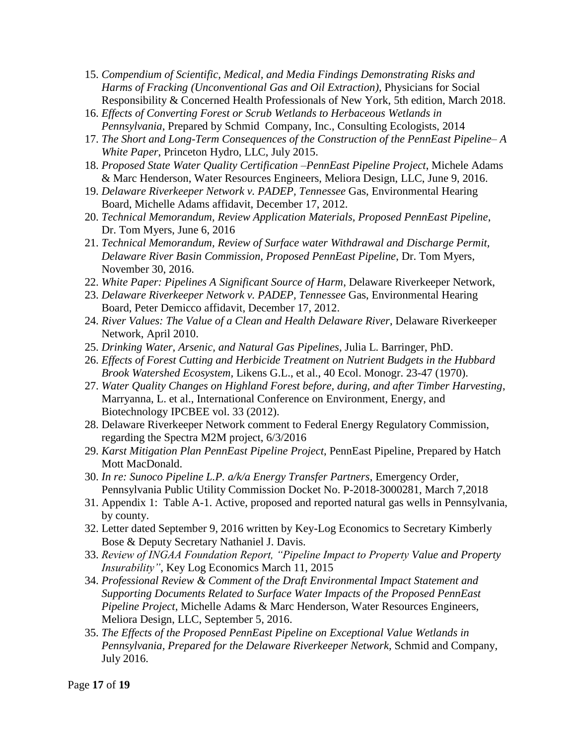- 15. *Compendium of Scientific, Medical, and Media Findings Demonstrating Risks and Harms of Fracking (Unconventional Gas and Oil Extraction)*, Physicians for Social Responsibility & Concerned Health Professionals of New York, 5th edition, March 2018.
- 16. *Effects of Converting Forest or Scrub Wetlands to Herbaceous Wetlands in Pennsylvania*, Prepared by Schmid Company, Inc., Consulting Ecologists, 2014
- 17. *The Short and Long-Term Consequences of the Construction of the PennEast Pipeline– A White Paper*, Princeton Hydro, LLC, July 2015.
- 18. *Proposed State Water Quality Certification –PennEast Pipeline Project*, Michele Adams & Marc Henderson, Water Resources Engineers, Meliora Design, LLC, June 9, 2016.
- 19. *Delaware Riverkeeper Network v. PADEP, Tennessee* Gas, Environmental Hearing Board, Michelle Adams affidavit, December 17, 2012.
- 20. *Technical Memorandum, Review Application Materials, Proposed PennEast Pipeline*, Dr. Tom Myers, June 6, 2016
- 21. *Technical Memorandum, Review of Surface water Withdrawal and Discharge Permit, Delaware River Basin Commission, Proposed PennEast Pipeline*, Dr. Tom Myers, November 30, 2016.
- 22. *White Paper: Pipelines A Significant Source of Harm*, Delaware Riverkeeper Network,
- 23. *Delaware Riverkeeper Network v. PADEP, Tennessee* Gas, Environmental Hearing Board, Peter Demicco affidavit, December 17, 2012.
- 24. *River Values: The Value of a Clean and Health Delaware River*, Delaware Riverkeeper Network, April 2010.
- 25. *Drinking Water, Arsenic, and Natural Gas Pipelines*, Julia L. Barringer, PhD.
- 26. *Effects of Forest Cutting and Herbicide Treatment on Nutrient Budgets in the Hubbard Brook Watershed Ecosystem,* Likens G.L., et al., 40 Ecol. Monogr. 23-47 (1970).
- 27. *Water Quality Changes on Highland Forest before, during, and after Timber Harvesting*, Marryanna, L. et al., International Conference on Environment, Energy, and Biotechnology IPCBEE vol. 33 (2012).
- 28. Delaware Riverkeeper Network comment to Federal Energy Regulatory Commission, regarding the Spectra M2M project, 6/3/2016
- 29. *Karst Mitigation Plan PennEast Pipeline Project*, PennEast Pipeline, Prepared by Hatch Mott MacDonald.
- 30. *In re: Sunoco Pipeline L.P. a/k/a Energy Transfer Partners*, Emergency Order, Pennsylvania Public Utility Commission Docket No. P-2018-3000281, March 7,2018
- 31. Appendix 1: Table A-1. Active, proposed and reported natural gas wells in Pennsylvania, by county.
- 32. Letter dated September 9, 2016 written by Key-Log Economics to Secretary Kimberly Bose & Deputy Secretary Nathaniel J. Davis.
- 33. *Review of INGAA Foundation Report, "Pipeline Impact to Property Value and Property Insurability"*, Key Log Economics March 11, 2015
- 34. *Professional Review & Comment of the Draft Environmental Impact Statement and Supporting Documents Related to Surface Water Impacts of the Proposed PennEast Pipeline Project*, Michelle Adams & Marc Henderson, Water Resources Engineers, Meliora Design, LLC, September 5, 2016.
- 35. *The Effects of the Proposed PennEast Pipeline on Exceptional Value Wetlands in Pennsylvania, Prepared for the Delaware Riverkeeper Network,* Schmid and Company, July 2016.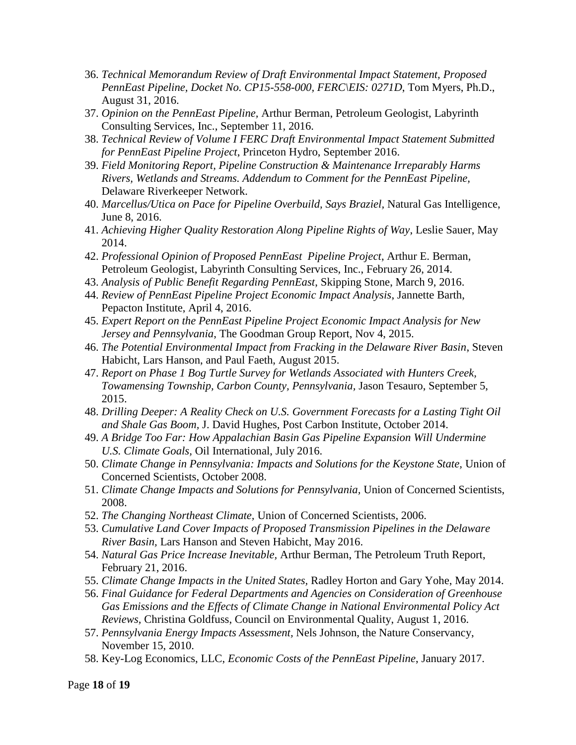- 36. *Technical Memorandum Review of Draft Environmental Impact Statement, Proposed PennEast Pipeline, Docket No. CP15-558-000, FERC\EIS: 0271D*, Tom Myers, Ph.D., August 31, 2016.
- 37. *Opinion on the PennEast Pipeline,* Arthur Berman, Petroleum Geologist, Labyrinth Consulting Services, Inc., September 11, 2016.
- 38. *Technical Review of Volume I FERC Draft Environmental Impact Statement Submitted for PennEast Pipeline Project*, Princeton Hydro, September 2016.
- 39. *Field Monitoring Report, Pipeline Construction & Maintenance Irreparably Harms Rivers, Wetlands and Streams. Addendum to Comment for the PennEast Pipeline,*  Delaware Riverkeeper Network.
- 40. *Marcellus/Utica on Pace for Pipeline Overbuild, Says Braziel,* Natural Gas Intelligence, June 8, 2016.
- 41. *Achieving Higher Quality Restoration Along Pipeline Rights of Way*, Leslie Sauer, May 2014.
- 42. *Professional Opinion of Proposed PennEast Pipeline Project*, Arthur E. Berman, Petroleum Geologist, Labyrinth Consulting Services, Inc., February 26, 2014.
- 43. *Analysis of Public Benefit Regarding PennEast*, Skipping Stone, March 9, 2016.
- 44. *Review of PennEast Pipeline Project Economic Impact Analysis*, Jannette Barth, Pepacton Institute, April 4, 2016.
- 45. *Expert Report on the PennEast Pipeline Project Economic Impact Analysis for New Jersey and Pennsylvania*, The Goodman Group Report, Nov 4, 2015.
- 46. *The Potential Environmental Impact from Fracking in the Delaware River Basin*, Steven Habicht, Lars Hanson, and Paul Faeth, August 2015.
- 47. *Report on Phase 1 Bog Turtle Survey for Wetlands Associated with Hunters Creek, Towamensing Township, Carbon County, Pennsylvania,* Jason Tesauro, September 5, 2015.
- 48. *Drilling Deeper: A Reality Check on U.S. Government Forecasts for a Lasting Tight Oil and Shale Gas Boom,* J. David Hughes, Post Carbon Institute, October 2014.
- 49. *A Bridge Too Far: How Appalachian Basin Gas Pipeline Expansion Will Undermine U.S. Climate Goals,* Oil International, July 2016.
- 50. *Climate Change in Pennsylvania: Impacts and Solutions for the Keystone State,* Union of Concerned Scientists, October 2008.
- 51. *Climate Change Impacts and Solutions for Pennsylvania,* Union of Concerned Scientists, 2008.
- 52. *The Changing Northeast Climate,* Union of Concerned Scientists, 2006.
- 53. *Cumulative Land Cover Impacts of Proposed Transmission Pipelines in the Delaware River Basin,* Lars Hanson and Steven Habicht, May 2016.
- 54. *Natural Gas Price Increase Inevitable,* Arthur Berman, The Petroleum Truth Report, February 21, 2016.
- 55. *Climate Change Impacts in the United States,* Radley Horton and Gary Yohe, May 2014.
- 56. *Final Guidance for Federal Departments and Agencies on Consideration of Greenhouse Gas Emissions and the Effects of Climate Change in National Environmental Policy Act Reviews,* Christina Goldfuss, Council on Environmental Quality, August 1, 2016.
- 57. *Pennsylvania Energy Impacts Assessment,* Nels Johnson, the Nature Conservancy, November 15, 2010.
- 58. Key-Log Economics, LLC, *Economic Costs of the PennEast Pipeline*, January 2017.